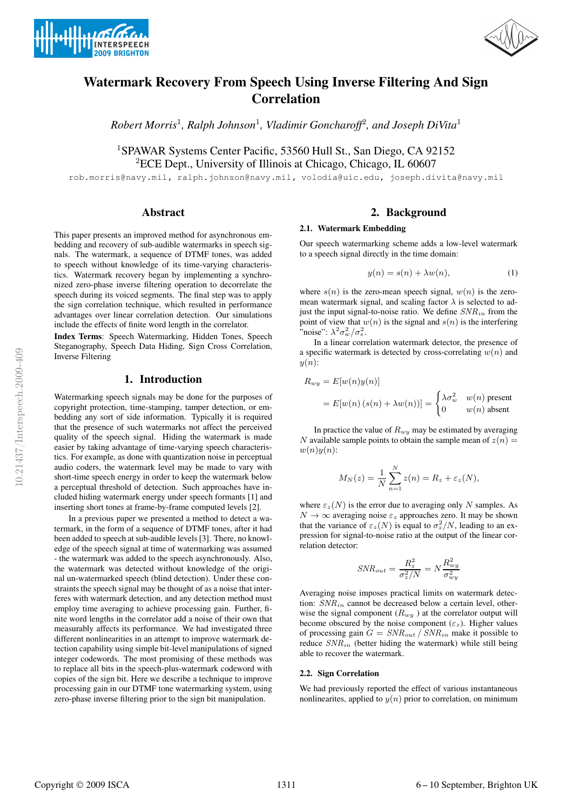



# **Watermark Recovery From Speech Using Inverse Filtering And Sign Correlation**

*Robert Morris*<sup>1</sup>*, Ralph Johnson*<sup>1</sup>*, Vladimir Goncharoff*<sup>2</sup>*, and Joseph DiVita*<sup>1</sup>

<sup>1</sup>SPAWAR Systems Center Pacific, 53560 Hull St., San Diego, CA 92152 <sup>2</sup>ECE Dept., University of Illinois at Chicago, Chicago, IL 60607

rob.morris@navy.mil, ralph.johnson@navy.mil, volodia@uic.edu, joseph.divita@navy.mil

#### **Abstract**

This paper presents an improved method for asynchronous embedding and recovery of sub-audible watermarks in speech signals. The watermark, a sequence of DTMF tones, was added to speech without knowledge of its time-varying characteristics. Watermark recovery began by implementing a synchronized zero-phase inverse filtering operation to decorrelate the speech during its voiced segments. The final step was to apply the sign correlation technique, which resulted in performance advantages over linear correlation detection. Our simulations include the effects of finite word length in the correlator.

**Index Terms**: Speech Watermarking, Hidden Tones, Speech Steganography, Speech Data Hiding, Sign Cross Correlation, Inverse Filtering

# **1. Introduction**

Watermarking speech signals may be done for the purposes of copyright protection, time-stamping, tamper detection, or embedding any sort of side information. Typically it is required that the presence of such watermarks not affect the perceived quality of the speech signal. Hiding the watermark is made easier by taking advantage of time-varying speech characteristics. For example, as done with quantization noise in perceptual audio coders, the watermark level may be made to vary with short-time speech energy in order to keep the watermark below a perceptual threshold of detection. Such approaches have included hiding watermark energy under speech formants [1] and inserting short tones at frame-by-frame computed levels [2].

In a previous paper we presented a method to detect a watermark, in the form of a sequence of DTMF tones, after it had been added to speech at sub-audible levels [3]. There, no knowledge of the speech signal at time of watermarking was assumed - the watermark was added to the speech asynchronously. Also, the watermark was detected without knowledge of the original un-watermarked speech (blind detection). Under these constraints the speech signal may be thought of as a noise that interferes with watermark detection, and any detection method must employ time averaging to achieve processing gain. Further, finite word lengths in the correlator add a noise of their own that measurably affects its performance. We had investigated three different nonlinearities in an attempt to improve watermark detection capability using simple bit-level manipulations of signed integer codewords. The most promising of these methods was to replace all bits in the speech-plus-watermark codeword with copies of the sign bit. Here we describe a technique to improve processing gain in our DTMF tone watermarking system, using zero-phase inverse filtering prior to the sign bit manipulation.

# **2. Background**

#### **2.1. Watermark Embedding**

Our speech watermarking scheme adds a low-level watermark to a speech signal directly in the time domain:

$$
y(n) = s(n) + \lambda w(n),
$$
 (1)

where  $s(n)$  is the zero-mean speech signal,  $w(n)$  is the zeromean watermark signal, and scaling factor  $\lambda$  is selected to adjust the input signal-to-noise ratio. We define  $SNR_{in}$  from the point of view that  $w(n)$  is the signal and  $s(n)$  is the interfering "noise":  $\lambda^2 \sigma_w^2 / \sigma_s^2$ .

In a linear correlation watermark detector, the presence of a specific watermark is detected by cross-correlating  $w(n)$  and  $y(n)$ :

$$
R_{wy} = E[w(n)y(n)]
$$
  
=  $E[w(n) (s(n) + \lambda w(n))] = \begin{cases} \lambda \sigma_w^2 & w(n) \text{ present} \\ 0 & w(n) \text{ absent} \end{cases}$ 

In practice the value of  $R_{wy}$  may be estimated by averaging N available sample points to obtain the sample mean of  $z(n) =$  $w(n)y(n)$ :

$$
M_N(z) = \frac{1}{N} \sum_{n=1}^N z(n) = R_z + \varepsilon_z(N),
$$

where  $\varepsilon_z(N)$  is the error due to averaging only N samples. As  $N \to \infty$  averaging noise  $\varepsilon_z$  approaches zero. It may be shown that the variance of  $\varepsilon_z(N)$  is equal to  $\sigma_z^2/N$ , leading to an expression for signal-to-noise ratio at the output of the linear correlation detector:

$$
SNR_{out} = \frac{R_z^2}{\sigma_z^2/N} = N \frac{R_{wy}^2}{\sigma_{wy}^2}
$$

Averaging noise imposes practical limits on watermark detection:  $SNR_{in}$  cannot be decreased below a certain level, otherwise the signal component  $\left(R_{wy}\right)$  at the correlator output will become obscured by the noise component ( $\varepsilon$ <sub>z</sub>). Higher values of processing gain  $G = SNR_{out} / SNR_{in}$  make it possible to reduce SNRin (better hiding the watermark) while still being able to recover the watermark.

#### **2.2. Sign Correlation**

We had previously reported the effect of various instantaneous nonlinearites, applied to  $y(n)$  prior to correlation, on minimum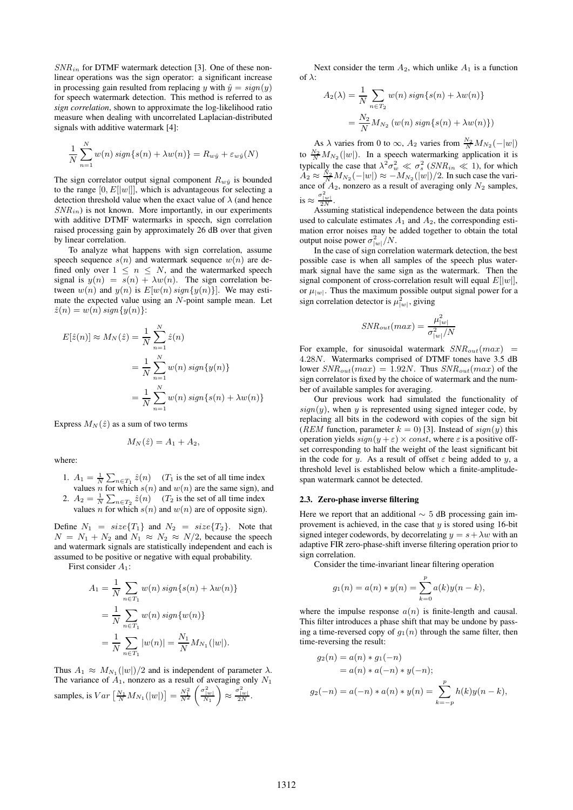$SNR_{in}$  for DTMF watermark detection [3]. One of these nonlinear operations was the sign operator: a significant increase in processing gain resulted from replacing y with  $\hat{y} = sign(y)$ for speech watermark detection. This method is referred to as *sign correlation*, shown to approximate the log-likelihood ratio measure when dealing with uncorrelated Laplacian-distributed signals with additive watermark [4]:

$$
\frac{1}{N}\sum_{n=1}^{N} w(n) \operatorname{sign}\{s(n) + \lambda w(n)\} = R_{w\hat{y}} + \varepsilon_{w\hat{y}}(N)
$$

The sign correlator output signal component  $R_{w\hat{y}}$  is bounded to the range  $[0, E[|w|]]$ , which is advantageous for selecting a detection threshold value when the exact value of  $\lambda$  (and hence  $SNR_{in}$ ) is not known. More importantly, in our experiments with additive DTMF watermarks in speech, sign correlation raised processing gain by approximately 26 dB over that given by linear correlation.

To analyze what happens with sign correlation, assume speech sequence  $s(n)$  and watermark sequence  $w(n)$  are defined only over  $1 \leq n \leq N$ , and the watermarked speech signal is  $y(n) = s(n) + \lambda w(n)$ . The sign correlation between  $w(n)$  and  $y(n)$  is  $E[w(n) sign{y(n)}]$ . We may estimate the expected value using an N-point sample mean. Let  $\hat{z}(n) = w(n) \operatorname{sign}{y(n)}$ :

$$
E[\hat{z}(n)] \approx M_N(\hat{z}) = \frac{1}{N} \sum_{n=1}^{N} \hat{z}(n)
$$
  
= 
$$
\frac{1}{N} \sum_{n=1}^{N} w(n) \operatorname{sign}\{y(n)\}
$$
  
= 
$$
\frac{1}{N} \sum_{n=1}^{N} w(n) \operatorname{sign}\{s(n) + \lambda w(n)\}
$$

Express  $M_N(\hat{z})$  as a sum of two terms

$$
M_N(\hat{z}) = A_1 + A_2,
$$

where:

- 1.  $A_1 = \frac{1}{N} \sum_{n \in T_1} \hat{z}(n)$  (*T*<sub>1</sub> is the set of all time index values n for which  $s(n)$  and  $w(n)$  are the same sign), and
- 2.  $A_2 = \frac{1}{N} \sum_{n \in T_2} \hat{z}(n)$  (*T*<sub>2</sub> is the set of all time index values n for which  $s(n)$  and  $w(n)$  are of opposite sign).

Define  $N_1 = size{T_1}$  and  $N_2 = size{T_2}$ . Note that  $N = N_1 + N_2$  and  $N_1 \approx N_2 \approx N/2$ , because the speech and watermark signals are statistically independent and each is assumed to be positive or negative with equal probability.

First consider  $A_1$ :

$$
A_1 = \frac{1}{N} \sum_{n \in T_1} w(n) \operatorname{sign}\{s(n) + \lambda w(n)\}
$$
  
= 
$$
\frac{1}{N} \sum_{n \in T_1} w(n) \operatorname{sign}\{w(n)\}
$$
  
= 
$$
\frac{1}{N} \sum_{n \in T_1} |w(n)| = \frac{N_1}{N} M_{N_1}(|w|).
$$

Thus  $A_1 \approx M_{N_1}(|w|)/2$  and is independent of parameter  $\lambda$ . The variance of  $A_1$ , nonzero as a result of averaging only  $N_1$ samples, is  $Var\left[\frac{N_1}{N}M_{N_1}(|w|)\right] = \frac{N_1^2}{N^2}$  $\left(\frac{\sigma_{|w|}^2}{N_1}\right)$  $\bigg) \approx \frac{\sigma_{|w|}^2}{2N}.$ 

Next consider the term  $A_2$ , which unlike  $A_1$  is a function of  $\lambda$ :

$$
A_2(\lambda) = \frac{1}{N} \sum_{n \in T_2} w(n) \operatorname{sign}\{s(n) + \lambda w(n)\}
$$

$$
= \frac{N_2}{N} M_{N_2} (w(n) \operatorname{sign}\{s(n) + \lambda w(n)\})
$$

As  $\lambda$  varies from 0 to  $\infty$ ,  $A_2$  varies from  $\frac{N_2}{N}M_{N_2}(-|w|)$ to  $\frac{N_2}{N}M_{N_2}(|w|)$ . In a speech watermarking application it is typically the case that  $\lambda^2 \sigma_w^2 \ll \sigma_s^2$  ( $SNR_{in} \ll 1$ ), for which  $A_2 \approx \frac{N_2}{N} M_{N_2}(-|w|) \approx -M_{N_2}(|w|)/2$ . In such case the variance of  $A_2$ , nonzero as a result of averaging only  $N_2$  samples, is  $\approx \frac{\sigma_{|w|}^2}{2N}$ .

Assuming statistical independence between the data points used to calculate estimates  $A_1$  and  $A_2$ , the corresponding estimation error noises may be added together to obtain the total output noise power  $\sigma_{|w|}^2/N$ .

In the case of sign correlation watermark detection, the best possible case is when all samples of the speech plus watermark signal have the same sign as the watermark. Then the signal component of cross-correlation result will equal  $E[|w|]$ , or  $\mu_{|w|}$ . Thus the maximum possible output signal power for a sign correlation detector is  $\mu_{|w|}^2$ , giving

$$
SNR_{out}(max) = \frac{\mu_{|w|}^2}{\sigma_{|w|}^2/N}
$$

For example, for sinusoidal watermark  $SNR_{out}(max)$  = 4.28N. Watermarks comprised of DTMF tones have 3.5 dB lower  $SNR_{out}(max) = 1.92N$ . Thus  $SNR_{out}(max)$  of the sign correlator is fixed by the choice of watermark and the number of available samples for averaging.

Our previous work had simulated the functionality of  $sign(y)$ , when y is represented using signed integer code, by replacing all bits in the codeword with copies of the sign bit (*REM* function, parameter  $k = 0$ ) [3]. Instead of  $sign(y)$  this operation yields  $sign(y + \varepsilon) \times const$ , where  $\varepsilon$  is a positive offset corresponding to half the weight of the least significant bit in the code for y. As a result of offset  $\varepsilon$  being added to y, a threshold level is established below which a finite-amplitudespan watermark cannot be detected.

#### **2.3. Zero-phase inverse filtering**

Here we report that an additional  $\sim$  5 dB processing gain improvement is achieved, in the case that  $y$  is stored using 16-bit signed integer codewords, by decorrelating  $y = s + \lambda w$  with an adaptive FIR zero-phase-shift inverse filtering operation prior to sign correlation.

Consider the time-invariant linear filtering operation

$$
g_1(n) = a(n) * y(n) = \sum_{k=0}^{p} a(k)y(n-k),
$$

where the impulse response  $a(n)$  is finite-length and causal. This filter introduces a phase shift that may be undone by passing a time-reversed copy of  $g_1(n)$  through the same filter, then time-reversing the result:

$$
g_2(n) = a(n) * g_1(-n)
$$
  
=  $a(n) * a(-n) * y(-n);$   

$$
g_2(-n) = a(-n) * a(n) * y(n) = \sum_{k=-p}^{p} h(k)y(n-k),
$$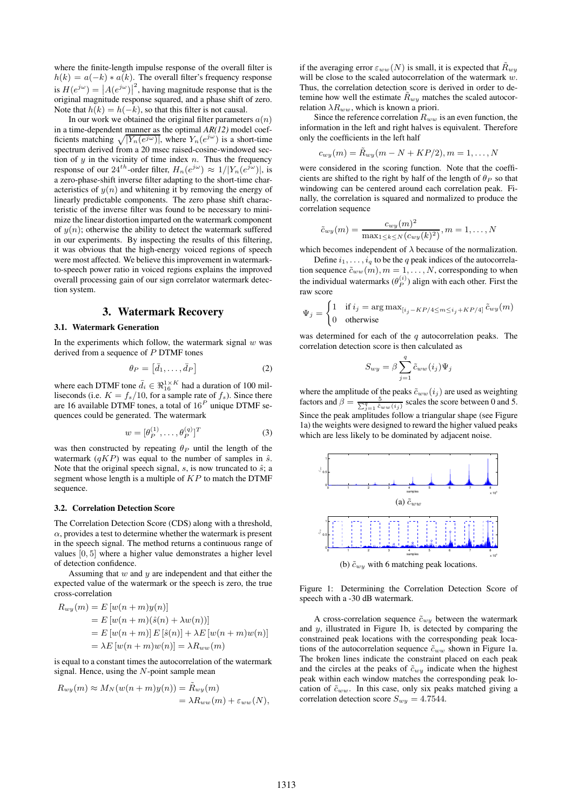where the finite-length impulse response of the overall filter is  $h(k) = a(-k) * a(k)$ . The overall filter's frequency response is  $H(e^{j\omega}) = |A(e^{j\omega})|^2$ , having magnitude response that is the original magnitude response squared, and a phase shift of zero. Note that  $h(k) = h(-k)$ , so that this filter is not causal.

In our work we obtained the original filter parameters  $a(n)$ in a time-dependent manner as the optimal *AR(12)* model coefficients matching  $\sqrt{|Y_n(e^{j\omega})|}$ , where  $Y_n(e^{j\omega})$  is a short-time spectrum derived from a 20 msec raised-cosine-windowed section of  $y$  in the vicinity of time index  $n$ . Thus the frequency response of our 24<sup>th</sup>-order filter,  $H_n(e^{j\omega}) \approx 1/|Y_n(e^{j\omega})|$ , is a zero-phase-shift inverse filter adapting to the short-time characteristics of  $y(n)$  and whitening it by removing the energy of linearly predictable components. The zero phase shift characteristic of the inverse filter was found to be necessary to minimize the linear distortion imparted on the watermark component of  $y(n)$ ; otherwise the ability to detect the watermark suffered in our experiments. By inspecting the results of this filtering, it was obvious that the high-energy voiced regions of speech were most affected. We believe this improvement in watermarkto-speech power ratio in voiced regions explains the improved overall processing gain of our sign correlator watermark detection system.

# **3. Watermark Recovery**

#### **3.1. Watermark Generation**

In the experiments which follow, the watermark signal  $w$  was derived from a sequence of P DTMF tones

$$
\theta_P = \left[\bar{d}_1, \dots, \bar{d}_P\right] \tag{2}
$$

where each DTMF tone  $\bar{d}_i \in \Re_{16}^{1 \times K}$  had a duration of 100 milliseconds (i.e.  $K = f_s/10$ , for a sample rate of  $f_s$ ). Since there are 16 available DTMF tones, a total of  $16<sup>P</sup>$  unique DTMF sequences could be generated. The watermark

$$
w = [\theta_P^{(1)}, \dots, \theta_P^{(q)}]^T
$$
 (3)

was then constructed by repeating  $\theta_P$  until the length of the watermark  $(qKP)$  was equal to the number of samples in  $\hat{s}$ . Note that the original speech signal,  $s$ , is now truncated to  $\hat{s}$ ; a segment whose length is a multiple of  $KP$  to match the DTMF sequence.

#### **3.2. Correlation Detection Score**

The Correlation Detection Score (CDS) along with a threshold,  $\alpha$ , provides a test to determine whether the watermark is present in the speech signal. The method returns a continuous range of values [0, 5] where a higher value demonstrates a higher level of detection confidence.

Assuming that  $w$  and  $y$  are independent and that either the expected value of the watermark or the speech is zero, the true cross-correlation

$$
R_{wy}(m) = E [w(n+m)y(n)]
$$
  
= E [w(n+m)(\hat{s}(n) + \lambda w(n))]  
= E [w(n+m)] E [\hat{s}(n)] + \lambda E [w(n+m)w(n)]  
= \lambda E [w(n+m)w(n)] = \lambda R\_{ww}(m)

is equal to a constant times the autocorrelation of the watermark signal. Hence, using the  $N$ -point sample mean

$$
R_{wy}(m) \approx M_N(w(n+m)y(n)) = \tilde{R}_{wy}(m)
$$
  
=  $\lambda R_{ww}(m) + \varepsilon_{ww}(N),$ 

if the averaging error  $\varepsilon_{ww}(N)$  is small, it is expected that  $\tilde{R}_{wy}$ will be close to the scaled autocorrelation of the watermark w. Thus, the correlation detection score is derived in order to detemine how well the estimate  $\ddot{R}_{wy}$  matches the scaled autocorrelation  $\lambda R_{ww}$ , which is known a priori.

Since the reference correlation  $R_{ww}$  is an even function, the information in the left and right halves is equivalent. Therefore only the coefficients in the left half

$$
c_{wy}(m) = \tilde{R}_{wy}(m-N+KP/2), m=1,\ldots,N
$$

were considered in the scoring function. Note that the coefficients are shifted to the right by half of the length of  $\theta_P$  so that windowing can be centered around each correlation peak. Finally, the correlation is squared and normalized to produce the correlation sequence

$$
\tilde{c}_{wy}(m) = \frac{c_{wy}(m)^2}{\max_{1 \le k \le N} (c_{wy}(k)^2)}, m = 1, ..., N
$$

which becomes independent of  $\lambda$  because of the normalization.

Define  $i_1, \ldots, i_q$  to be the q peak indices of the autocorrelation sequence  $\tilde{c}_{ww}(m), m = 1, \ldots, N$ , corresponding to when the individual watermarks  $(\theta_P^{(i)})$  align with each other. First the raw score

$$
\Psi_j = \begin{cases} 1 & \text{if } i_j = \arg \max_{[i_j - KP/4 \le m \le i_j + KP/4]} \tilde{c}_{wy}(m) \\ 0 & \text{otherwise} \end{cases}
$$

was determined for each of the  $q$  autocorrelation peaks. The correlation detection score is then calculated as

$$
S_{wy} = \beta \sum_{j=1}^{q} \tilde{c}_{ww}(i_j) \Psi_j
$$

where the amplitude of the peaks  $\tilde{c}_{ww}(i_j)$  are used as weighting factors and  $\beta = \frac{5}{\sum_{j=1}^{q} \tilde{c}_{ww}(i_j)}$  scales the score between 0 and 5. Since the peak amplitudes follow a triangular shape (see Figure 1a) the weights were designed to reward the higher valued peaks which are less likely to be dominated by adjacent noise.



(b)  $\tilde{c}_{wy}$  with 6 matching peak locations.

Figure 1: Determining the Correlation Detection Score of speech with a -30 dB watermark.

A cross-correlation sequence  $\tilde{c}_{wy}$  between the watermark and y, illustrated in Figure 1b, is detected by comparing the constrained peak locations with the corresponding peak locations of the autocorrelation sequence  $\tilde{c}_{ww}$  shown in Figure 1a. The broken lines indicate the constraint placed on each peak and the circles at the peaks of  $\tilde{c}_{w\bar{w}}$  indicate when the highest peak within each window matches the corresponding peak location of  $\tilde{c}_{ww}$ . In this case, only six peaks matched giving a correlation detection score  $S_{wy} = 4.7544$ .